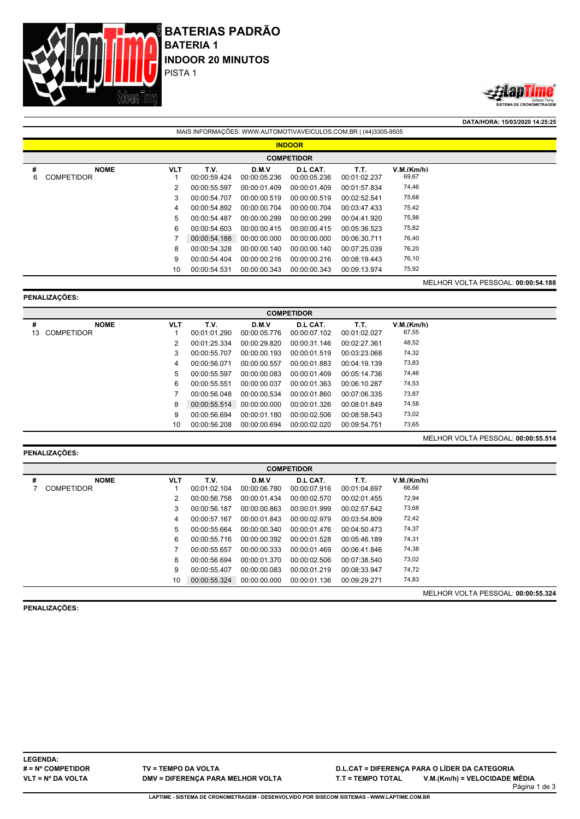



**DATA/HORA: 15/03/2020 14:25:25** MAIS INFORMAÇÕES: WWW.AUTOMOTIVAVEICULOS.COM.BR | (44)3305-9505 **INDOOR COMPETIDOR # NOME VLT T.V. D.M.V D.L CAT. T.T. V.M.(Km/h)** 6 COMPETIDOR 1 00:00:59.424 00:00:05.236 00:00:05.236 00:01:02.237 69,67 2 00:00:55.597 00:00:01.409 00:00:01.409 00:01:57.834 74,46 3 00:00:54.707 00:00:00.519 00:00:00.519 00:02:52.541 75,68 4 00:00:54.892 00:00:00.704 00:00:00.704 00:03:47.433 75,42 5 00:00:54.487 00:00:00.299 00:00:00.299 00:04:41.920 75,98 6 00:00:54.603 00:00:00.415 00:00:00.415 00:05:36.523 75,82 7 00:00:54.188 00:00:00.000 00:00:00.000 00:06:30.711 76,40 8 00:00:54.328 00:00:00.140 00:00:00.140 00:07:25.039 76,20 9 00:00:54.404 00:00:00.216 00:00:00.216 00:08:19.443 76,10 10 00:00:54.531 00:00:00.343 00:00:00.343 00:09:13.974 MELHOR VOLTA PESSOAL: **00:00:54.188**

#### **PENALIZAÇÕES:**

|    | <b>COMPETIDOR</b>                  |            |              |              |              |              |            |  |  |  |  |
|----|------------------------------------|------------|--------------|--------------|--------------|--------------|------------|--|--|--|--|
| #  | <b>NOME</b>                        | <b>VLT</b> | T.V.         | D.M.V        | D.L CAT.     | T.T.         | V.M.(Km/h) |  |  |  |  |
| 13 | <b>COMPETIDOR</b>                  |            | 00:01:01.290 | 00:00:05.776 | 00:00:07.102 | 00:01:02.027 | 67,55      |  |  |  |  |
|    |                                    | 2          | 00:01:25.334 | 00:00:29.820 | 00:00:31.146 | 00:02:27.361 | 48,52      |  |  |  |  |
|    |                                    | 3          | 00:00:55.707 | 00:00:00.193 | 00:00:01.519 | 00:03:23.068 | 74,32      |  |  |  |  |
|    |                                    | 4          | 00:00:56.071 | 00:00:00.557 | 00:00:01.883 | 00:04:19.139 | 73,83      |  |  |  |  |
|    |                                    | 5          | 00:00:55.597 | 00:00:00.083 | 00:00:01.409 | 00:05:14.736 | 74,46      |  |  |  |  |
|    |                                    | 6          | 00:00:55.551 | 00:00:00.037 | 00:00:01.363 | 00:06:10.287 | 74,53      |  |  |  |  |
|    |                                    |            | 00:00:56.048 | 00:00:00.534 | 00:00:01.860 | 00:07:06.335 | 73,87      |  |  |  |  |
|    |                                    | 8          | 00:00:55.514 | 00:00:00.000 | 00:00:01.326 | 00:08:01.849 | 74,58      |  |  |  |  |
|    |                                    | 9          | 00:00:56.694 | 00:00:01.180 | 00:00:02.506 | 00:08:58.543 | 73,02      |  |  |  |  |
|    |                                    | 10         | 00:00:56.208 | 00:00:00.694 | 00:00:02.020 | 00:09:54.751 | 73,65      |  |  |  |  |
|    | MELHOR VOLTA PESSOAL: 00:00:55.514 |            |              |              |              |              |            |  |  |  |  |

### **PENALIZAÇÕES:**

|   | <b>COMPETIDOR</b>                |            |                      |                       |                          |                      |                     |                                    |  |  |  |
|---|----------------------------------|------------|----------------------|-----------------------|--------------------------|----------------------|---------------------|------------------------------------|--|--|--|
| # | <b>NOME</b><br><b>COMPETIDOR</b> | <b>VLT</b> | T.V.<br>00:01:02.104 | D.M.V<br>00:00:06.780 | D.L CAT.<br>00:00:07.916 | T.T.<br>00:01:04.697 | V.M.(Km/h)<br>66,66 |                                    |  |  |  |
|   |                                  |            | 00:00:56.758         | 00:00:01.434          | 00:00:02.570             | 00:02:01.455         | 72,94               |                                    |  |  |  |
|   |                                  | 3          | 00:00:56.187         | 00:00:00.863          | 00:00:01.999             | 00:02:57.642         | 73,68               |                                    |  |  |  |
|   |                                  | 4          | 00:00:57.167         | 00:00:01.843          | 00:00:02.979             | 00:03:54.809         | 72,42               |                                    |  |  |  |
|   |                                  | 5          | 00:00:55.664         | 00:00:00.340          | 00:00:01.476             | 00:04:50.473         | 74,37               |                                    |  |  |  |
|   |                                  | 6          | 00:00:55.716         | 00:00:00.392          | 00:00:01.528             | 00:05:46.189         | 74,31               |                                    |  |  |  |
|   |                                  |            | 00:00:55.657         | 00:00:00.333          | 00:00:01.469             | 00:06:41.846         | 74,38               |                                    |  |  |  |
|   |                                  | 8          | 00:00:56.694         | 00:00:01.370          | 00:00:02.506             | 00:07:38.540         | 73,02               |                                    |  |  |  |
|   |                                  | 9          | 00:00:55.407         | 00:00:00.083          | 00:00:01.219             | 00:08:33.947         | 74,72               |                                    |  |  |  |
|   |                                  | 10         | 00:00:55.324         | 00:00:00.000          | 00:00:01.136             | 00:09:29.271         | 74,83               |                                    |  |  |  |
|   |                                  |            |                      |                       |                          |                      |                     | MELHOR VOLTA PESSOAL: 00:00:55.324 |  |  |  |

**PENALIZAÇÕES:**

**LEGENDA: # = Nº COMPETIDOR VLT = Nº DA VOLTA**

**TV = TEMPO DA VOLTA DMV = DIFERENÇA PARA MELHOR VOLTA** **D.L.CAT = DIFERENÇA PARA O LÍDER DA CATEGORIA T.T = TEMPO TOTAL V.M.(Km/h) = VELOCIDADE MÉDIA**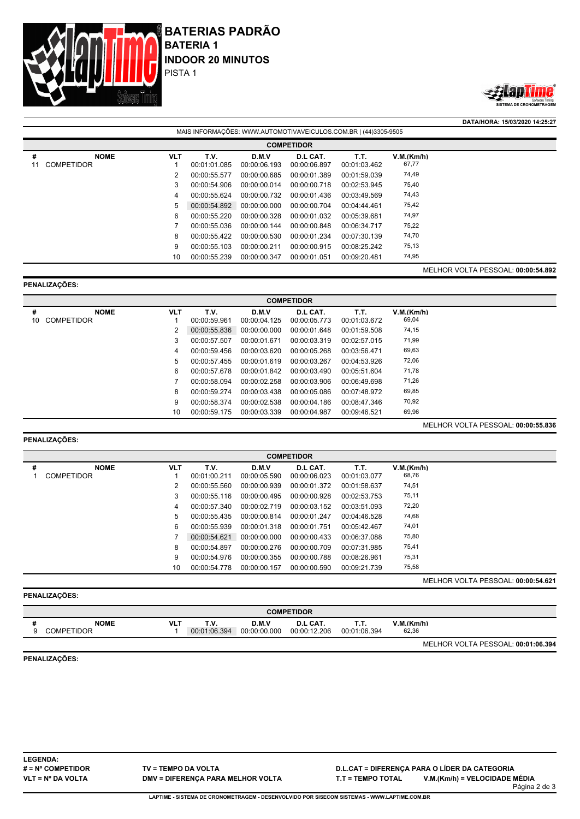



**DATA/HORA: 15/03/2020 14:25:27**

MELHOR VOLTA PESSOAL: **00:00:55.836**

| MAIS INFORMAÇÕES: WWW.AUTOMOTIVAVEICULOS.COM.BR   (44)3305-9505 |            |                      |                       |                          |                      |                                    |  |  |  |  |
|-----------------------------------------------------------------|------------|----------------------|-----------------------|--------------------------|----------------------|------------------------------------|--|--|--|--|
| <b>COMPETIDOR</b>                                               |            |                      |                       |                          |                      |                                    |  |  |  |  |
| <b>NOME</b><br>#<br><b>COMPETIDOR</b><br>11                     | <b>VLT</b> | T.V.<br>00:01:01.085 | D.M.V<br>00:00:06.193 | D.L CAT.<br>00:00:06.897 | T.T.<br>00:01:03.462 | V.M.(Km/h)<br>67,77                |  |  |  |  |
|                                                                 | 2          | 00:00:55.577         | 00:00:00.685          | 00:00:01.389             | 00:01:59.039         | 74,49                              |  |  |  |  |
|                                                                 | 3          | 00:00:54.906         | 00:00:00.014          | 00:00:00.718             | 00:02:53.945         | 75,40                              |  |  |  |  |
|                                                                 | 4          | 00:00:55.624         | 00:00:00.732          | 00:00:01.436             | 00:03:49.569         | 74,43                              |  |  |  |  |
|                                                                 | 5          | 00:00:54.892         | 00:00:00.000          | 00:00:00.704             | 00:04:44.461         | 75,42                              |  |  |  |  |
|                                                                 | 6          | 00:00:55.220         | 00:00:00.328          | 00:00:01.032             | 00:05:39.681         | 74,97                              |  |  |  |  |
|                                                                 |            | 00:00:55.036         | 00:00:00.144          | 00:00:00.848             | 00:06:34.717         | 75,22                              |  |  |  |  |
|                                                                 | 8          | 00:00:55.422         | 00:00:00.530          | 00:00:01.234             | 00:07:30.139         | 74,70                              |  |  |  |  |
|                                                                 | 9          | 00:00:55.103         | 00:00:00.211          | 00:00:00.915             | 00:08:25.242         | 75,13                              |  |  |  |  |
|                                                                 | 10         | 00:00:55.239         | 00:00:00.347          | 00:00:01.051             | 00:09:20.481         | 74,95                              |  |  |  |  |
|                                                                 |            |                      |                       |                          |                      | MELHOR VOLTA PESSOAL: 00:00:54.892 |  |  |  |  |

### **PENALIZAÇÕES:**

|    | <b>COMPETIDOR</b> |            |              |              |              |              |            |  |  |  |  |
|----|-------------------|------------|--------------|--------------|--------------|--------------|------------|--|--|--|--|
| #  | <b>NOME</b>       | <b>VLT</b> | T.V.         | D.M.V        | D.L CAT.     | Т.Т.         | V.M.(Km/h) |  |  |  |  |
| 10 | <b>COMPETIDOR</b> |            | 00:00:59.961 | 00:00:04.125 | 00:00:05.773 | 00:01:03.672 | 69,04      |  |  |  |  |
|    |                   | 2          | 00:00:55.836 | 00:00:00.000 | 00:00:01.648 | 00:01:59.508 | 74,15      |  |  |  |  |
|    |                   | 3          | 00:00:57.507 | 00:00:01.671 | 00:00:03.319 | 00:02:57.015 | 71,99      |  |  |  |  |
|    |                   | 4          | 00:00:59.456 | 00:00:03.620 | 00:00:05.268 | 00:03:56.471 | 69,63      |  |  |  |  |
|    |                   | 5          | 00:00:57.455 | 00:00:01.619 | 00:00:03.267 | 00:04:53.926 | 72,06      |  |  |  |  |
|    |                   | 6          | 00:00:57.678 | 00:00:01.842 | 00:00:03.490 | 00:05:51.604 | 71,78      |  |  |  |  |
|    |                   |            | 00:00:58.094 | 00:00:02.258 | 00:00:03.906 | 00:06:49.698 | 71,26      |  |  |  |  |
|    |                   | 8          | 00:00:59.274 | 00:00:03.438 | 00:00:05.086 | 00:07:48.972 | 69,85      |  |  |  |  |
|    |                   | 9          | 00:00:58.374 | 00:00:02.538 | 00:00:04.186 | 00:08:47.346 | 70,92      |  |  |  |  |
|    |                   | 10         | 00:00:59.175 | 00:00:03.339 | 00:00:04.987 | 00:09:46.521 | 69,96      |  |  |  |  |

## **PENALIZAÇÕES:**

|   | <b>COMPETIDOR</b> |            |              |              |              |              |            |                                    |  |  |  |
|---|-------------------|------------|--------------|--------------|--------------|--------------|------------|------------------------------------|--|--|--|
| # | <b>NOME</b>       | <b>VLT</b> | T.V.         | D.M.V        | D.L CAT.     | Т.Т.         | V.M.(Km/h) |                                    |  |  |  |
|   | <b>COMPETIDOR</b> |            | 00:01:00.211 | 00:00:05.590 | 00:00:06.023 | 00:01:03.077 | 68,76      |                                    |  |  |  |
|   |                   |            | 00:00:55.560 | 00:00:00.939 | 00:00:01.372 | 00:01:58.637 | 74,51      |                                    |  |  |  |
|   |                   | 3          | 00:00:55.116 | 00:00:00.495 | 00:00:00.928 | 00:02:53.753 | 75,11      |                                    |  |  |  |
|   |                   | 4          | 00:00:57.340 | 00:00:02.719 | 00:00:03.152 | 00:03:51.093 | 72,20      |                                    |  |  |  |
|   |                   | 5          | 00:00:55.435 | 00:00:00.814 | 00:00:01.247 | 00:04:46.528 | 74,68      |                                    |  |  |  |
|   |                   | 6          | 00:00:55.939 | 00:00:01.318 | 00:00:01.751 | 00:05:42.467 | 74,01      |                                    |  |  |  |
|   |                   |            | 00:00:54.621 | 00:00:00.000 | 00:00:00.433 | 00:06:37.088 | 75,80      |                                    |  |  |  |
|   |                   | 8          | 00:00:54.897 | 00:00:00.276 | 00:00:00.709 | 00:07:31.985 | 75,41      |                                    |  |  |  |
|   |                   | 9          | 00:00:54.976 | 00:00:00.355 | 00:00:00.788 | 00:08:26.961 | 75,31      |                                    |  |  |  |
|   |                   | 10         | 00:00:54.778 | 00:00:00.157 | 00:00:00.590 | 00:09:21.739 | 75,58      |                                    |  |  |  |
|   |                   |            |              |              |              |              |            | MELHOR VOLTA PESSOAL: 00:00:54.621 |  |  |  |

# **PENALIZAÇÕES:**

| <b>COMPETIDOR</b> |                                  |                 |                      |                       |                                 |                      |                     |                                    |  |  |
|-------------------|----------------------------------|-----------------|----------------------|-----------------------|---------------------------------|----------------------|---------------------|------------------------------------|--|--|
|                   | <b>NOME</b><br><b>COMPETIDOR</b> | VL <sup>-</sup> | T.V.<br>00:01:06.394 | D.M.V<br>00:00:00.000 | <b>D.L CAT.</b><br>00:00:12.206 | Т.Т.<br>00:01:06.394 | V.M.(Km/h)<br>62,36 |                                    |  |  |
|                   |                                  |                 |                      |                       |                                 |                      |                     | MELHOR VOLTA PESSOAL: 00:01:06.394 |  |  |

**PENALIZAÇÕES:**

**LEGENDA: # = Nº COMPETIDOR VLT = Nº DA VOLTA**

**TV = TEMPO DA VOLTA DMV = DIFERENÇA PARA MELHOR VOLTA** **D.L.CAT = DIFERENÇA PARA O LÍDER DA CATEGORIA T.T = TEMPO TOTAL V.M.(Km/h) = VELOCIDADE MÉDIA**